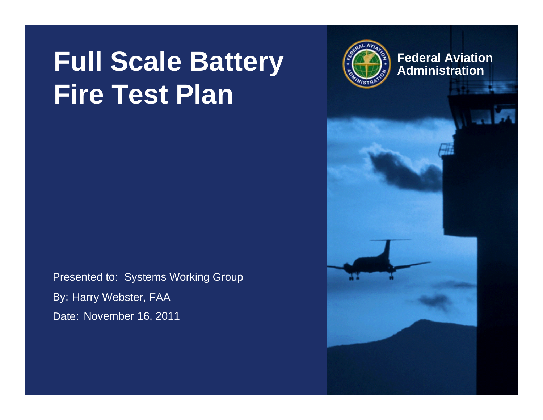## **Full Scale Battery**  $\left(\frac{2}{3}\right)$  Federal Aviation **Fire Test Plan**

Presented to: Systems Working Group By: Harry Webster, FAA Date: November 16, 2011



**Federal Aviation**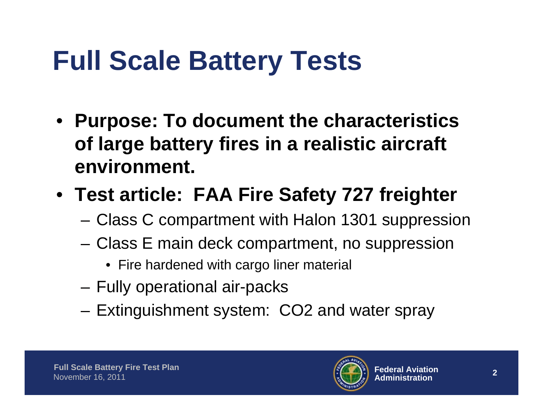- **Purpose: To document the characteristics of large battery fires in a realistic aircraft environment.**
- **Test article: FAA Fire Safety 727 freighter**
	- Class C compartment with Halon 1301 suppression
	- Class E main deck compartment, no suppression
		- Fire hardened with cargo liner material
	- Fully operational air-packs
	- Extinguishment system: CO2 and water spray

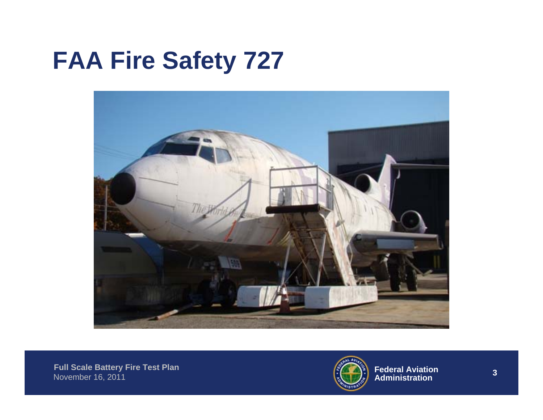### **FAA Fire Safety 727**



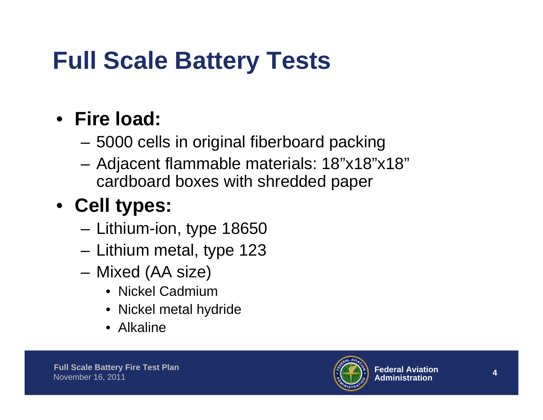#### • **Fire load:**

- 5000 cells in original fiberboard packing
- Adjacent flammable materials: 18"x18"x18" cardboard boxes with shredded paper

#### • **Cell types:**

- Lithium-ion, type 18650
- Lithium metal, type 123
- Mixed (AA size)
	- Nickel Cadmium
	- Nickel metal hydride
	- Alkaline

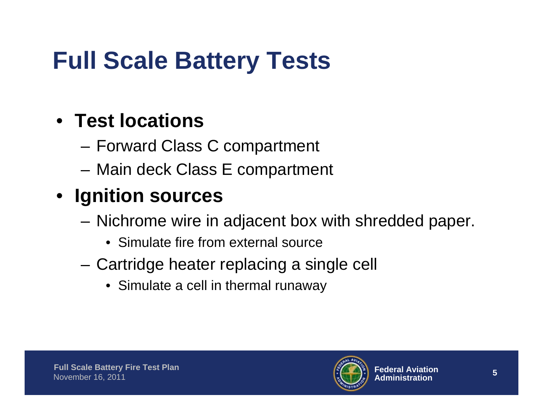#### • **Test locations**

- Forward Class C compartment
- Main deck Class E compartment

#### • **Ignition sources**

- Nichrome wire in adjacent box with shredded paper.
	- Simulate fire from external source
- Cartridge heater replacing a single cell
	- Simulate a cell in thermal runaway

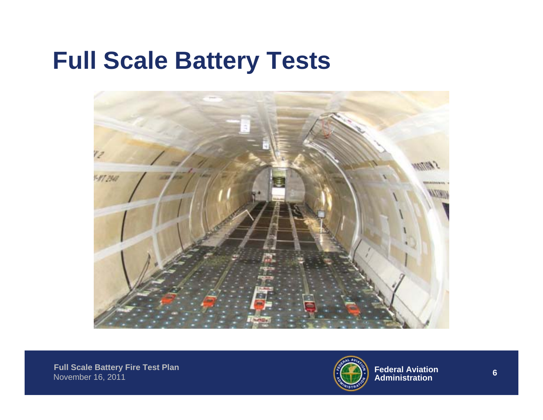

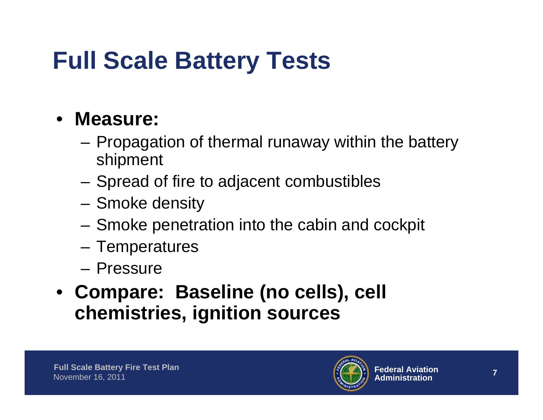#### • **Measure:**

- Propagation of thermal runaway within the battery shipment
- Spread of fire to adjacent combustibles
- Smoke density
- Smoke penetration into the cabin and cockpit
- Temperatures
- Pressure
- **Compare: Baseline (no cells), cell chemistries, ignition sources**

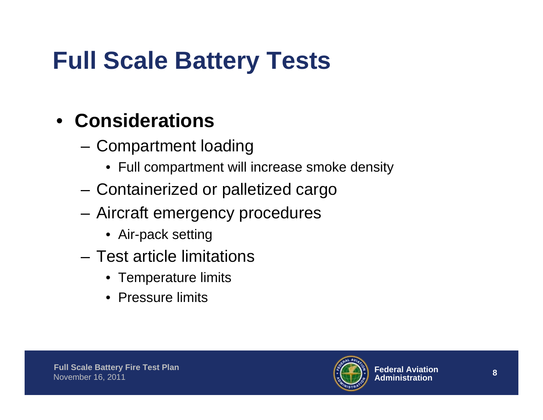#### • **Considerations**

- Compartment loading
	- Full compartment will increase smoke density
- Containerized or palletized cargo
- Aircraft emergency procedures
	- Air-pack setting
- Test article limitations
	- Temperature limits
	- Pressure limits

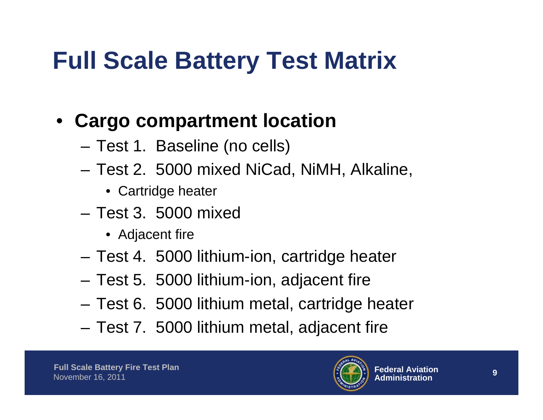## **Full Scale Battery Test Matrix**

#### • **Cargo compartment location**

- Test 1. Baseline (no cells)
- Test 2. 5000 mixed NiCad, NiMH, Alkaline,
	- Cartridge heater
- Test 3. 5000 mixed
	- Adjacent fire
- Test 4. 5000 lithium-ion, cartridge heater
- Test 5. 5000 lithium-ion, adjacent fire
- Test 6. 5000 lithium metal, cartridge heater
- Test 7. 5000 lithium metal, adjacent fire

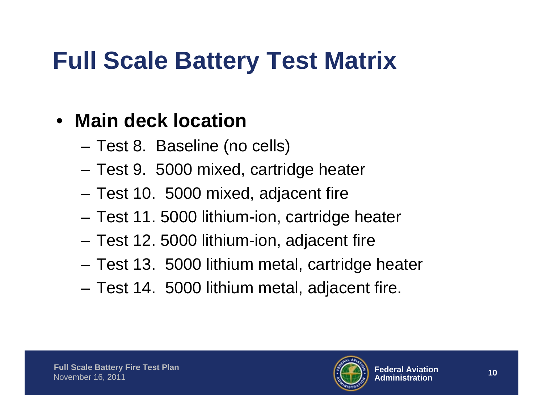## **Full Scale Battery Test Matrix**

#### • **Main deck location**

- Test 8. Baseline (no cells)
- Test 9. 5000 mixed, cartridge heater
- Test 10. 5000 mixed, adjacent fire
- Test 11. 5000 lithium-ion, cartridge heater
- Test 12. 5000 lithium-ion, adjacent fire
- Test 13. 5000 lithium metal, cartridge heater
- Test 14. 5000 lithium metal, adjacent fire.